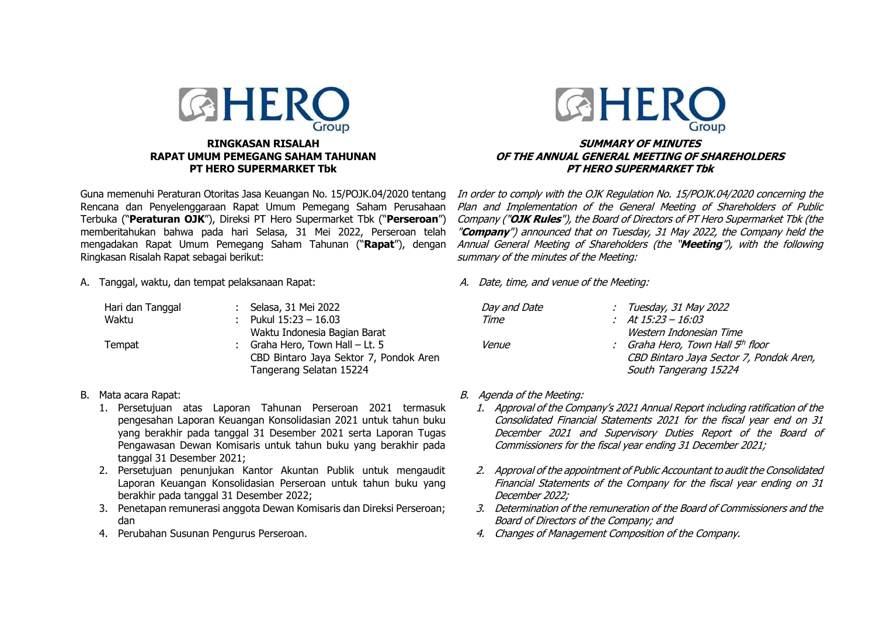

Guna memenuhi Peraturan Otoritas Jasa Keuangan No. 15/POJK.04/2020 tentang Rencana dan Penyelenggaraan Rapat Umum Pemegang Saham Perusahaan Terbuka ("**Peraturan OJK**"), Direksi PT Hero Supermarket Tbk ("**Perseroan**") memberitahukan bahwa pada hari Selasa, 31 Mei 2022, Perseroan telah mengadakan Rapat Umum Pemegang Saham Tahunan ("**Rapat**"), dengan Ringkasan Risalah Rapat sebagai berikut:

A. Tanggal, waktu, dan tempat pelaksanaan Rapat:

| Hari dan Tanggal | : Selasa, 31 Mei 2022                  |
|------------------|----------------------------------------|
| Waktu            | : Pukul $15:23 - 16.03$                |
|                  | Waktu Indonesia Bagian Barat           |
| Tempat           | : Graha Hero, Town Hall $-$ Lt. 5      |
|                  | CBD Bintaro Jaya Sektor 7, Pondok Aren |
|                  | Tangerang Selatan 15224                |

- B. Mata acara Rapat:
	- 1. Persetujuan atas Laporan Tahunan Perseroan 2021 termasuk pengesahan Laporan Keuangan Konsolidasian 2021 untuk tahun buku yang berakhir pada tanggal 31 Desember 2021 serta Laporan Tugas Pengawasan Dewan Komisaris untuk tahun buku yang berakhir pada tanggal 31 Desember 2021;
	- 2. Persetujuan penunjukan Kantor Akuntan Publik untuk mengaudit Laporan Keuangan Konsolidasian Perseroan untuk tahun buku yang berakhir pada tanggal 31 Desember 2022;
	- 3. Penetapan remunerasi anggota Dewan Komisaris dan Direksi Perseroan; dan
	- 4. Perubahan Susunan Pengurus Perseroan.



## **SUMMARY OF MINUTES OF THE ANNUAL GENERAL MEETING OF SHAREHOLDERS PT HERO SUPERMARKET Tbk**

In order to comply with the OJK Regulation No. 15/POJK.04/2020 concerning the Plan and Implementation of the General Meeting of Shareholders of Public Company ("**OJK Rules**"), the Board of Directors of PT Hero Supermarket Tbk (the "**Company**") announced that on Tuesday, 31 May 2022, the Company held the Annual General Meeting of Shareholders (the "**Meeting**"), with the following summary of the minutes of the Meeting:

A. Date, time, and venue of the Meeting:

| Day and Date | : Tuesday, 31 May 2022                  |
|--------------|-----------------------------------------|
| Time         | : At $15:23 - 16:03$                    |
|              | Western Indonesian Time                 |
| <i>Venue</i> | : Graha Hero, Town Hall 5th floor       |
|              | CBD Bintaro Jaya Sector 7, Pondok Aren, |
|              | South Tangerang 15224                   |

- B. Agenda of the Meeting:
	- 1. Approval of the Company's 2021 Annual Report including ratification of the Consolidated Financial Statements 2021 for the fiscal year end on 31 December 2021 and Supervisory Duties Report of the Board of Commissioners for the fiscal year ending 31 December 2021;
	- 2. Approval of the appointment of Public Accountant to audit the Consolidated Financial Statements of the Company for the fiscal year ending on 31 December 2022;
	- 3. Determination of the remuneration of the Board of Commissioners and the Board of Directors of the Company; and
	- 4. Changes of Management Composition of the Company.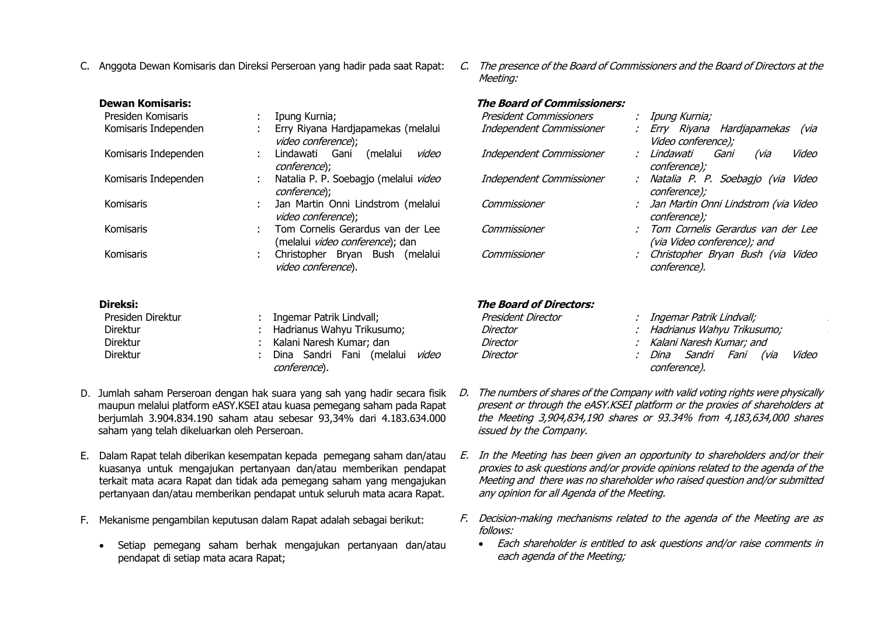- C. Anggota Dewan Komisaris dan Direksi Perseroan yang hadir pada saat Rapat:
- C. The presence of the Board of Commissioners and the Board of Directors at the Meeting:

| <b>Dewan Komisaris:</b> |                                                                      | <b>The Board of Commissioners:</b> |                                                                  |
|-------------------------|----------------------------------------------------------------------|------------------------------------|------------------------------------------------------------------|
| Presiden Komisaris      | Ipung Kurnia;                                                        | President Commissioners            | : Ipung Kurnia;                                                  |
| Komisaris Independen    | Erry Riyana Hardjapamekas (melalui<br>video conference);             | Independent Commissioner           | : Erry Riyana Hardjapamekas<br>(via<br>Video conference);        |
| Komisaris Independen    | Gani<br>Lindawati<br>(melalui<br>video<br>conference);               | Independent Commissioner           | Video<br>Lindawati<br>Gani<br>(via<br>conference);               |
| Komisaris Independen    | Natalia P. P. Soebagjo (melalui video<br>conference);                | Independent Commissioner           | : Natalia P. P. Soebagjo (via Video<br>conference);              |
| Komisaris               | Jan Martin Onni Lindstrom (melalui<br>video conference);             | Commissioner                       | : Jan Martin Onni Lindstrom (via Video<br>conference);           |
| Komisaris               | Tom Cornelis Gerardus van der Lee<br>(melalui video conference); dan | Commissioner                       | Tom Cornelis Gerardus van der Lee<br>(via Video conference); and |
| Komisaris               | Christopher Bryan Bush (melalui<br>video conference).                | Commissioner                       | Christopher Bryan Bush (via Video<br>conference).                |
| Direksi:                |                                                                      | <b>The Board of Directors:</b>     |                                                                  |
| Presiden Direktur       | Ingemar Patrik Lindvall;                                             | President Director                 | : Ingemar Patrik Lindvall;                                       |
| <b>Direktur</b>         | Hadrianus Wahyu Trikusumo;                                           | Director                           | Hadrianus Wahyu Trikusumo;                                       |
| <b>Direktur</b>         | Kalani Naresh Kumar; dan                                             | Director                           | Kalani Naresh Kumar; and                                         |
| Direktur                | Dina Sandri Fani (melalui<br>video<br>conference).                   | Director                           | Dina Sandri<br>Fani<br>Video<br>(via<br>conference).             |

- D. Jumlah saham Perseroan dengan hak suara yang sah yang hadir secara fisik  $D$ . maupun melalui platform eASY.KSEI atau kuasa pemegang saham pada Rapat berjumlah 3.904.834.190 saham atau sebesar 93,34% dari 4.183.634.000 saham yang telah dikeluarkan oleh Perseroan.
- E. Dalam Rapat telah diberikan kesempatan kepada pemegang saham dan/atau kuasanya untuk mengajukan pertanyaan dan/atau memberikan pendapat terkait mata acara Rapat dan tidak ada pemegang saham yang mengajukan pertanyaan dan/atau memberikan pendapat untuk seluruh mata acara Rapat.
- F. Mekanisme pengambilan keputusan dalam Rapat adalah sebagai berikut:
	- Setiap pemegang saham berhak mengajukan pertanyaan dan/atau pendapat di setiap mata acara Rapat;
- The numbers of shares of the Company with valid voting rights were physically present or through the eASY.KSEI platform or the proxies of shareholders at the Meeting 3,904,834,190 shares or 93.34% from 4,183,634,000 shares issued by the Company.
- E. In the Meeting has been given an opportunity to shareholders and/or their proxies to ask questions and/or provide opinions related to the agenda of the Meeting and there was no shareholder who raised question and/or submitted any opinion for all Agenda of the Meeting.
- F. Decision-making mechanisms related to the agenda of the Meeting are as follows:
	- Each shareholder is entitled to ask questions and/or raise comments in each agenda of the Meeting;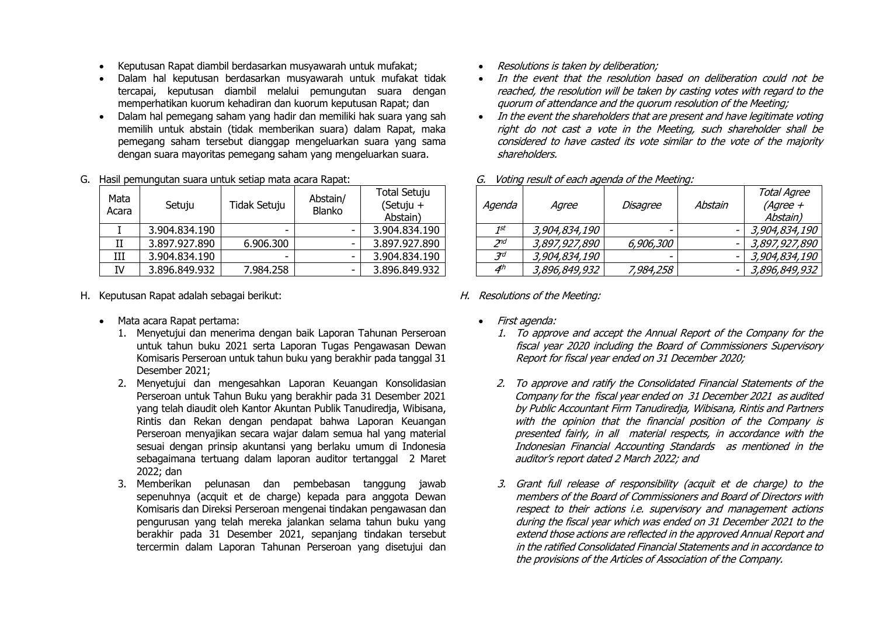- Keputusan Rapat diambil berdasarkan musyawarah untuk mufakat;
- Dalam hal keputusan berdasarkan musyawarah untuk mufakat tidak tercapai, keputusan diambil melalui pemungutan suara dengan memperhatikan kuorum kehadiran dan kuorum keputusan Rapat; dan
- Dalam hal pemegang saham yang hadir dan memiliki hak suara yang sah memilih untuk abstain (tidak memberikan suara) dalam Rapat, maka pemegang saham tersebut dianggap mengeluarkan suara yang sama dengan suara mayoritas pemegang saham yang mengeluarkan suara.

#### G. Hasil pemungutan suara untuk setiap mata acara Rapat:

| Mata<br>Acara | Setuju        | Tidak Setuju | Abstain/<br>Blanko | <b>Total Setuju</b><br>(Setuju +<br>Abstain) |
|---------------|---------------|--------------|--------------------|----------------------------------------------|
|               | 3.904.834.190 | -            |                    | 3.904.834.190                                |
| II            | 3.897.927.890 | 6.906.300    |                    | 3.897.927.890                                |
| Ш             | 3.904.834.190 | -            | -                  | 3.904.834.190                                |
| IV            | 3.896.849.932 | 7.984.258    |                    | 3.896.849.932                                |

- H. Keputusan Rapat adalah sebagai berikut:
	- Mata acara Rapat pertama:
		- 1. Menyetujui dan menerima dengan baik Laporan Tahunan Perseroan untuk tahun buku 2021 serta Laporan Tugas Pengawasan Dewan Komisaris Perseroan untuk tahun buku yang berakhir pada tanggal 31 Desember 2021;
		- 2. Menyetujui dan mengesahkan Laporan Keuangan Konsolidasian Perseroan untuk Tahun Buku yang berakhir pada 31 Desember 2021 yang telah diaudit oleh Kantor Akuntan Publik Tanudiredja, Wibisana, Rintis dan Rekan dengan pendapat bahwa Laporan Keuangan Perseroan menyajikan secara wajar dalam semua hal yang material sesuai dengan prinsip akuntansi yang berlaku umum di Indonesia sebagaimana tertuang dalam laporan auditor tertanggal 2 Maret 2022; dan
		- 3. Memberikan pelunasan dan pembebasan tanggung jawab sepenuhnya (acquit et de charge) kepada para anggota Dewan Komisaris dan Direksi Perseroan mengenai tindakan pengawasan dan pengurusan yang telah mereka jalankan selama tahun buku yang berakhir pada 31 Desember 2021, sepanjang tindakan tersebut tercermin dalam Laporan Tahunan Perseroan yang disetujui dan
- Resolutions is taken by deliberation:
- In the event that the resolution based on deliberation could not be reached, the resolution will be taken by casting votes with regard to the quorum of attendance and the quorum resolution of the Meeting;
- In the event the shareholders that are present and have legitimate voting right do not cast a vote in the Meeting, such shareholder shall be considered to have casted its vote similar to the vote of the majority shareholders.

|          |               |           |         | <b>Total Agree</b> |
|----------|---------------|-----------|---------|--------------------|
| Agenda   | Agree         | Disagree  | Abstain | $(Agree +$         |
|          |               |           |         | Abstain)           |
| 1st      | 3,904,834,190 | -         | -       | 3,904,834,190      |
| $2^{nd}$ | 3,897,927,890 | 6,906,300 | -       | 3,897,927,890      |
| 7d       | 3,904,834,190 |           |         | 3,904,834,190      |
| 4th      | 3,896,849,932 | 7,984,258 | -       | 3,896,849,932      |

G. Voting result of each agenda of the Meeting:

### H. Resolutions of the Meeting:

- First agenda:
	- 1. To approve and accept the Annual Report of the Company for the fiscal year 2020 including the Board of Commissioners Supervisory Report for fiscal year ended on 31 December 2020;
	- 2. To approve and ratify the Consolidated Financial Statements of the Company for the fiscal year ended on 31 December 2021 as audited by Public Accountant Firm Tanudiredja, Wibisana, Rintis and Partners with the opinion that the financial position of the Company is presented fairly, in all material respects, in accordance with the Indonesian Financial Accounting Standards as mentioned in the auditor's report dated 2 March 2022; and
	- 3. Grant full release of responsibility (acquit et de charge) to the members of the Board of Commissioners and Board of Directors with respect to their actions i.e. supervisory and management actions during the fiscal year which was ended on 31 December 2021 to the extend those actions are reflected in the approved Annual Report and in the ratified Consolidated Financial Statements and in accordance to the provisions of the Articles of Association of the Company.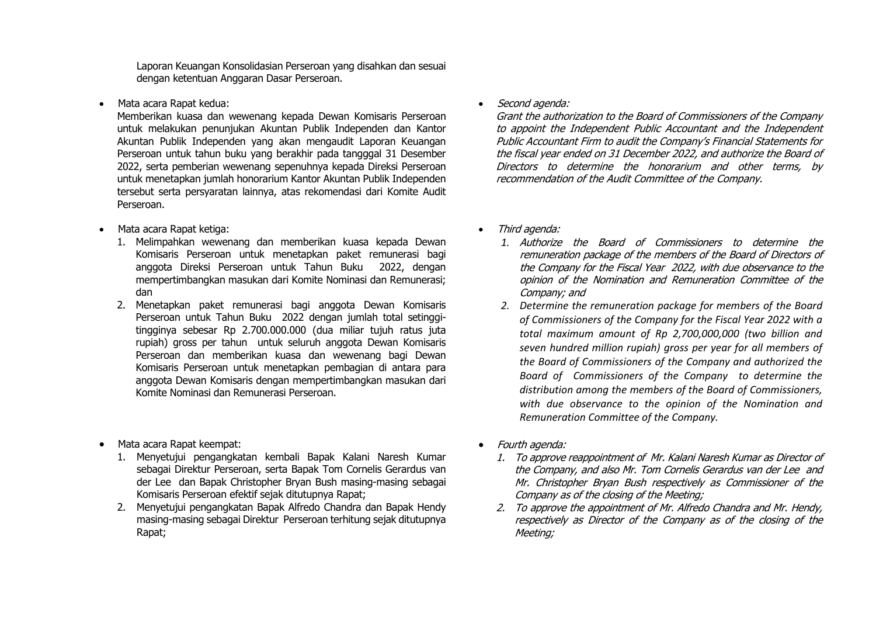Laporan Keuangan Konsolidasian Perseroan yang disahkan dan sesuai dengan ketentuan Anggaran Dasar Perseroan.

• Mata acara Rapat kedua:

Memberikan kuasa dan wewenang kepada Dewan Komisaris Perseroan untuk melakukan penunjukan Akuntan Publik Independen dan Kantor Akuntan Publik Independen yang akan mengaudit Laporan Keuangan Perseroan untuk tahun buku yang berakhir pada tangggal 31 Desember 2022, serta pemberian wewenang sepenuhnya kepada Direksi Perseroan untuk menetapkan jumlah honorarium Kantor Akuntan Publik Independen tersebut serta persyaratan lainnya, atas rekomendasi dari Komite Audit Perseroan.

- Mata acara Rapat ketiga:
	- 1. Melimpahkan wewenang dan memberikan kuasa kepada Dewan Komisaris Perseroan untuk menetapkan paket remunerasi bagi anggota Direksi Perseroan untuk Tahun Buku 2022, dengan mempertimbangkan masukan dari Komite Nominasi dan Remunerasi; dan
	- 2. Menetapkan paket remunerasi bagi anggota Dewan Komisaris Perseroan untuk Tahun Buku 2022 dengan jumlah total setinggitingginya sebesar Rp 2.700.000.000 (dua miliar tujuh ratus juta rupiah) gross per tahun untuk seluruh anggota Dewan Komisaris Perseroan dan memberikan kuasa dan wewenang bagi Dewan Komisaris Perseroan untuk menetapkan pembagian di antara para anggota Dewan Komisaris dengan mempertimbangkan masukan dari Komite Nominasi dan Remunerasi Perseroan.
- Mata acara Rapat keempat:
	- 1. Menyetujui pengangkatan kembali Bapak Kalani Naresh Kumar sebagai Direktur Perseroan, serta Bapak Tom Cornelis Gerardus van der Lee dan Bapak Christopher Bryan Bush masing-masing sebagai Komisaris Perseroan efektif sejak ditutupnya Rapat;
	- 2. Menyetujui pengangkatan Bapak Alfredo Chandra dan Bapak Hendy masing-masing sebagai Direktur Perseroan terhitung sejak ditutupnya Rapat;

• Second agenda:

Grant the authorization to the Board of Commissioners of the Company to appoint the Independent Public Accountant and the Independent Public Accountant Firm to audit the Company's Financial Statements for the fiscal year ended on 31 December 2022, and authorize the Board of Directors to determine the honorarium and other terms, by recommendation of the Audit Committee of the Company.

- Third agenda:
	- *1.* Authorize the Board of Commissioners to determine the remuneration package of the members of the Board of Directors of the Company for the Fiscal Year 2022, with due observance to the opinion of the Nomination and Remuneration Committee of the Company; and
	- *2. Determine the remuneration package for members of the Board of Commissioners of the Company for the Fiscal Year 2022 with a total maximum amount of Rp 2,700,000,000 (two billion and seven hundred million rupiah) gross per year for all members of the Board of Commissioners of the Company and authorized the Board of Commissioners of the Company to determine the distribution among the members of the Board of Commissioners, with due observance to the opinion of the Nomination and Remuneration Committee of the Company.*
- Fourth agenda:
	- 1. To approve reappointment of Mr. Kalani Naresh Kumar as Director of the Company, and also Mr. Tom Cornelis Gerardus van der Lee and Mr. Christopher Bryan Bush respectively as Commissioner of the Company as of the closing of the Meeting;
	- 2. To approve the appointment of Mr. Alfredo Chandra and Mr. Hendy, respectively as Director of the Company as of the closing of the Meeting;